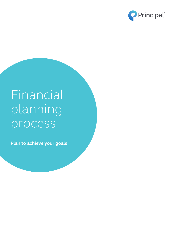

# **Financial** planning process

**Plan to achieve your goals**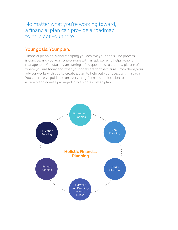No matter what you're working toward, a financial plan can provide a roadmap to help get you there.

### Your goals. Your plan.

Financial planning is about helping you achieve your goals. The process is concise, and you work one-on-one with an advisor who helps keep it manageable. You start by answering a few questions to create a picture of where you are today and what your goals are for the future. From there, your advisor works with you to create a plan to help put your goals within reach. You can receive guidance on everything from asset allocation to estate planning—all packaged into a single written plan.

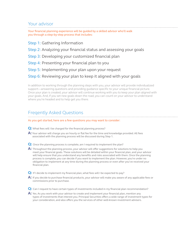## Your advisor

Your financial planning experience will be guided by a skilled advisor who'll walk you through a step-by-step process that includes:

- Step 1: Gathering Information
- Step 2: Analyzing your financial status and assessing your goals
- Step 3: Developing your customized financial plan
- Step 4: Presenting your financial plan to you
- Step 5: Implementing your plan upon your request

#### Step 6: Reviewing your plan to keep it aligned with your goals

In addition to working through the planning steps with you, your advisor will provide individualized support—answering questions and providing guidance specific to your unique financial picture. Once your plan is created, your advisor will continue working with you to keep your plan aligned with your goals. And, if you set new goals down the road, you can count on your advisor to understand where you're headed and to help get you there.

## Freqently Asked Questions

#### As you get started, here are a few questions you may want to consider:

- **Q:** What fees will I be charged for the financial planning process?
- **A:** Your advisor will charge you an hourly or flat fee for the time and knowledge provided. All fees associated with the planning process will be discussed during Step 1.
- **Q:** Once the planning process is complete, am I required to implement the plan?
- **A:** Throughout the planning process, your advisor will offer suggestions for solutions to help you meet your financial goals. These solutions will be detailed within your financial plan, and your advisor will help ensure that you understand any benefits and risks associated with them. Once the planning process is complete, you can decide if you want to implement the plan. However, you're under no obligation to implement at any time during the planning process or even after you've received your financial plan.
- **Q:** If I decide to implement my financial plan, what fees will I be expected to pay?
- **A:** If you decide to purchase financial products, your advisor will make you aware of any applicable fees or commissions prior to purchase.
- **Q:** Can I request to have certain types of investments included in my financial plan recommendation?
- **A:** Yes. As you work with your advisor to create and implement your financial plan, mention any types of investments that interest you. Principal Securities offers a wide range of investment types for your consideration, and also offers you the services of other well-known investment advisers.